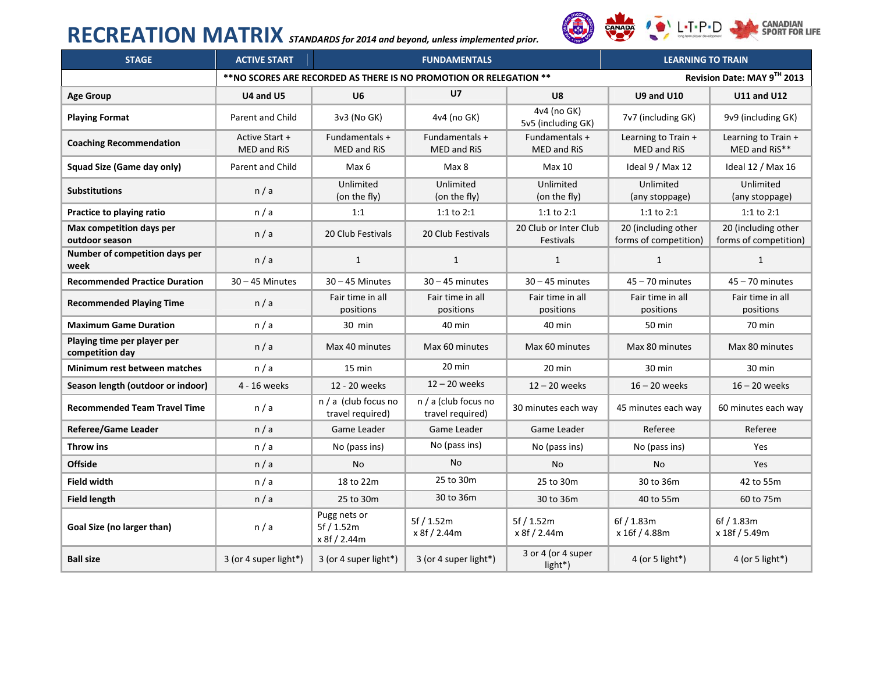# **RECREATION MATRIX** *STANDARDS for <sup>2014</sup> and beyond, unless implemented prior.*

CANADA  $\bullet$  L.T.P.D

**CANADIAN<br>SPORT FOR LIFE** 

| <b>STAGE</b>                                   | <b>ACTIVE START</b>                  | <b>FUNDAMENTALS</b>                                                |                                          |                                           | <b>LEARNING TO TRAIN</b>                     |                                              |
|------------------------------------------------|--------------------------------------|--------------------------------------------------------------------|------------------------------------------|-------------------------------------------|----------------------------------------------|----------------------------------------------|
|                                                |                                      | **NO SCORES ARE RECORDED AS THERE IS NO PROMOTION OR RELEGATION ** | Revision Date: MAY 9TH 2013              |                                           |                                              |                                              |
| <b>Age Group</b>                               | U4 and U5                            | U6                                                                 | U <sub>7</sub>                           | U8                                        | <b>U9 and U10</b>                            | <b>U11 and U12</b>                           |
| <b>Playing Format</b>                          | Parent and Child                     | 3v3 (No GK)                                                        | 4v4 (no GK)                              | 4v4 (no GK)<br>5v5 (including GK)         | 7v7 (including GK)                           | 9v9 (including GK)                           |
| <b>Coaching Recommendation</b>                 | Active Start +<br><b>MED and RiS</b> | Fundamentals +<br><b>MED and RiS</b>                               | Fundamentals +<br><b>MED and RiS</b>     | Fundamentals +<br><b>MED and RiS</b>      | Learning to Train +<br><b>MED and RiS</b>    | Learning to Train +<br>MED and RiS**         |
| Squad Size (Game day only)                     | <b>Parent and Child</b>              | Max 6                                                              | Max 8                                    | Max 10                                    | Ideal 9 / Max 12                             | Ideal 12 / Max 16                            |
| <b>Substitutions</b>                           | n/a                                  | Unlimited<br>(on the fly)                                          | Unlimited<br>(on the fly)                | Unlimited<br>(on the fly)                 | Unlimited<br>(any stoppage)                  | Unlimited<br>(any stoppage)                  |
| Practice to playing ratio                      | n/a                                  | 1:1                                                                | $1:1$ to $2:1$                           | 1:1 to 2:1                                | $1:1$ to $2:1$                               | 1:1 to $2:1$                                 |
| Max competition days per<br>outdoor season     | n/a                                  | 20 Club Festivals                                                  | 20 Club Festivals                        | 20 Club or Inter Club<br><b>Festivals</b> | 20 (including other<br>forms of competition) | 20 (including other<br>forms of competition) |
| Number of competition days per<br>week         | n/a                                  | $\mathbf{1}$                                                       | $\mathbf{1}$                             | $\mathbf{1}$                              | $\mathbf{1}$                                 | $\mathbf{1}$                                 |
| <b>Recommended Practice Duration</b>           | $30 - 45$ Minutes                    | $30 - 45$ Minutes                                                  | $30 - 45$ minutes                        | $30 - 45$ minutes                         | $45 - 70$ minutes                            | $45 - 70$ minutes                            |
| <b>Recommended Playing Time</b>                | n/a                                  | Fair time in all<br>positions                                      | Fair time in all<br>positions            | Fair time in all<br>positions             | Fair time in all<br>positions                | Fair time in all<br>positions                |
| <b>Maximum Game Duration</b>                   | n/a                                  | 30 min                                                             | 40 min                                   | 40 min                                    | 50 min                                       | 70 min                                       |
| Playing time per player per<br>competition day | n/a                                  | Max 40 minutes                                                     | Max 60 minutes                           | Max 60 minutes                            | Max 80 minutes                               | Max 80 minutes                               |
| Minimum rest between matches                   | n/a                                  | 15 min                                                             | 20 min                                   | 20 min                                    | 30 min                                       | 30 min                                       |
| Season length (outdoor or indoor)              | 4 - 16 weeks                         | 12 - 20 weeks                                                      | $12 - 20$ weeks                          | $12 - 20$ weeks                           | $16 - 20$ weeks                              | $16 - 20$ weeks                              |
| <b>Recommended Team Travel Time</b>            | n/a                                  | n / a (club focus no<br>travel required)                           | n / a (club focus no<br>travel required) | 30 minutes each way                       | 45 minutes each way                          | 60 minutes each way                          |
| <b>Referee/Game Leader</b>                     | n/a                                  | Game Leader                                                        | Game Leader                              | Game Leader                               | Referee                                      | Referee                                      |
| Throw ins                                      | n/a                                  | No (pass ins)                                                      | No (pass ins)                            | No (pass ins)                             | No (pass ins)                                | Yes                                          |
| <b>Offside</b>                                 | n/a                                  | <b>No</b>                                                          | <b>No</b>                                | <b>No</b>                                 | <b>No</b>                                    | Yes                                          |
| <b>Field width</b>                             | n/a                                  | 18 to 22m                                                          | 25 to 30m                                | 25 to 30m                                 | 30 to 36m                                    | 42 to 55m                                    |
| <b>Field length</b>                            | n/a                                  | 25 to 30m                                                          | 30 to 36m                                | 30 to 36m                                 | 40 to 55m                                    | 60 to 75m                                    |
| Goal Size (no larger than)                     | n/a                                  | Pugg nets or<br>5f / 1.52m<br>x 8f / 2.44m                         | 5f / 1.52m<br>x 8f / 2.44m               | 5f / 1.52m<br>x 8f / 2.44m                | 6f / 1.83m<br>x 16f / 4.88m                  | 6f / 1.83m<br>x 18f / 5.49m                  |
| <b>Ball size</b>                               | 3 (or 4 super light*)                | 3 (or 4 super light*)                                              | 3 (or 4 super light*)                    | 3 or 4 (or 4 super<br>light*)             | 4 (or 5 light*)                              | 4 (or 5 light*)                              |